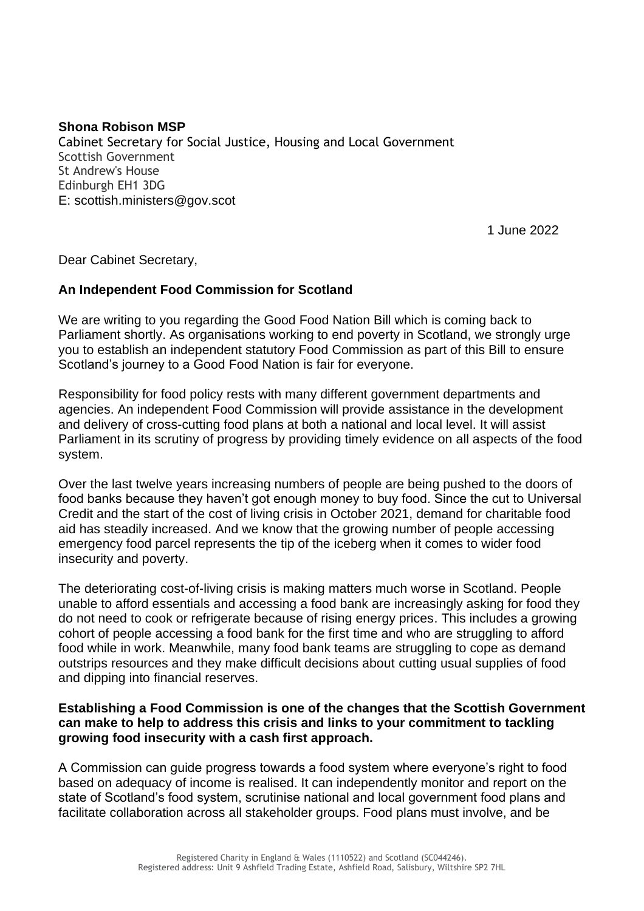## **Shona Robison MSP**

Cabinet Secretary for Social Justice, Housing and Local Government Scottish Government St Andrew's House Edinburgh EH1 3DG E: scottish.ministers@gov.scot

1 June 2022

Dear Cabinet Secretary,

## **An Independent Food Commission for Scotland**

We are writing to you regarding the Good Food Nation Bill which is coming back to Parliament shortly. As organisations working to end poverty in Scotland, we strongly urge you to establish an independent statutory Food Commission as part of this Bill to ensure Scotland's journey to a Good Food Nation is fair for everyone.

Responsibility for food policy rests with many different government departments and agencies. An independent Food Commission will provide assistance in the development and delivery of cross-cutting food plans at both a national and local level. It will assist Parliament in its scrutiny of progress by providing timely evidence on all aspects of the food system.

Over the last twelve years increasing numbers of people are being pushed to the doors of food banks because they haven't got enough money to buy food. Since the cut to Universal Credit and the start of the cost of living crisis in October 2021, demand for charitable food aid has steadily increased. And we know that the growing number of people accessing emergency food parcel represents the tip of the iceberg when it comes to wider food insecurity and poverty.

The deteriorating cost-of-living crisis is making matters much worse in Scotland. People unable to afford essentials and accessing a food bank are increasingly asking for food they do not need to cook or refrigerate because of rising energy prices. This includes a growing cohort of people accessing a food bank for the first time and who are struggling to afford food while in work. Meanwhile, many food bank teams are struggling to cope as demand outstrips resources and they make difficult decisions about cutting usual supplies of food and dipping into financial reserves.

## **Establishing a Food Commission is one of the changes that the Scottish Government can make to help to address this crisis and links to your commitment to tackling growing food insecurity with a cash first approach.**

A Commission can guide progress towards a food system where everyone's right to food based on adequacy of income is realised. It can independently monitor and report on the state of Scotland's food system, scrutinise national and local government food plans and facilitate collaboration across all stakeholder groups. Food plans must involve, and be